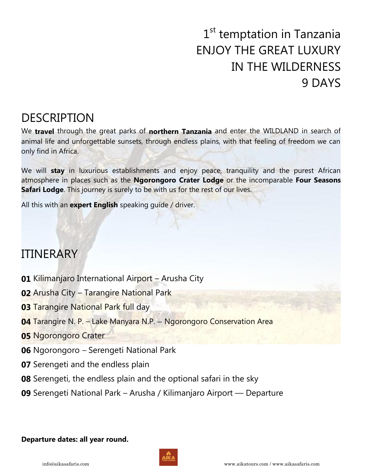# 1<sup>st</sup> temptation in Tanzania ENJOY THE GREAT LUXURY IN THE WILDERNESS 9 DAYS

## DESCRIPTION

We **travel** through the great parks of **northern Tanzania** and enter the WILDLAND in search of animal life and unforgettable sunsets, through endless plains, with that feeling of freedom we can only find in Africa.

We will **stay** in luxurious establishments and enjoy peace, tranquility and the purest African atmosphere in places such as the **Ngorongoro Crater Lodge** or the incomparable **Four Seasons Safari Lodge**. This journey is surely to be with us for the rest of our lives.

All this with an **expert English** speaking guide / driver.

## ITINERARY

- **01** Kilimanjaro International Airport Arusha City
- **02** Arusha City Tarangire National Park
- **03 Tarangire National Park full day**
- **04** Tarangire N. P. Lake Manyara N.P. Ngorongoro Conservation Area
- **05** Ngorongoro Crater
- **06** Ngorongoro Serengeti National Park
- **07** Serengeti and the endless plain
- **08** Serengeti, the endless plain and the optional safari in the sky
- **09** Serengeti National Park Arusha / Kilimanjaro Airport Departure

#### **Departure dates: all year round.**

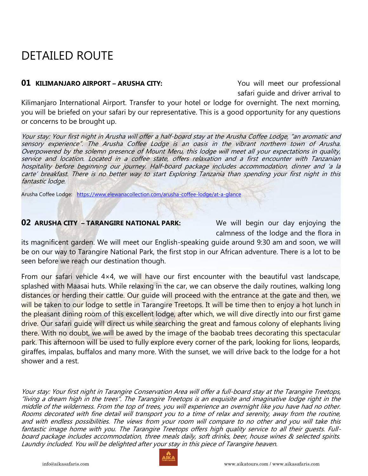## DETAILED ROUTE

### **01 KILIMANJARO AIRPORT – ARUSHA CITY:** You will meet our professional

safari guide and driver arrival to

Kilimanjaro International Airport. Transfer to your hotel or lodge for overnight. The next morning, you will be briefed on your safari by our representative. This is a good opportunity for any questions or concerns to be brought up.

Your stay: Your first night in Arusha will offer a half-board stay at the Arusha Coffee Lodge, "an aromatic and sensory experience". The Arusha Coffee Lodge is an oasis in the vibrant northern town of Arusha. Overpowered by the solemn presence of Mount Meru, this lodge will meet all your expectations in quality, service and location. Located in a coffee state, offers relaxation and a first encounter with Tanzanian hospitality before beginning our journey. Half-board package includes accommodation, dinner and 'a la carte' breakfast. There is no better way to start Exploring Tanzania than spending your first night in this fantastic lodge.

Arusha Coffee Lodge: <https://www.elewanacollection.com/arusha-coffee-lodge/at-a-glance>

### **02 ARUSHA CITY – TARANGIRE NATIONAL PARK:** We will begin our day enjoying the

calmness of the lodge and the flora in

its magnificent garden. We will meet our English-speaking guide around 9:30 am and soon, we will be on our way to Tarangire National Park, the first stop in our African adventure. There is a lot to be seen before we reach our destination though.

From our safari vehicle  $4\times4$ , we will have our first encounter with the beautiful vast landscape, splashed with Maasai huts. While relaxing in the car, we can observe the daily routines, walking long distances or herding their cattle. Our guide will proceed with the entrance at the gate and then, we will be taken to our lodge to settle in Tarangire Treetops. It will be time then to enjoy a hot lunch in the pleasant dining room of this excellent lodge, after which, we will dive directly into our first game drive. Our safari guide will direct us while searching the great and famous colony of elephants living there. With no doubt, we will be awed by the image of the baobab trees decorating this spectacular park. This afternoon will be used to fully explore every corner of the park, looking for lions, leopards, giraffes, impalas, buffalos and many more. With the sunset, we will drive back to the lodge for a hot shower and a rest.

Your stay: Your first night in Tarangire Conservation Area will offer a full-board stay at the Tarangire Treetops, "living a dream high in the trees". The Tarangire Treetops is an exquisite and imaginative lodge right in the middle of the wilderness. From the top of trees, you will experience an overnight like you have had no other. Rooms decorated with fine detail will transport you to a time of relax and serenity, away from the routine, and with endless possibilities. The views from your room will compare to no other and you will take this fantastic image home with you. The Tarangire Treetops offers high quality service to all their guests. Fullboard package includes accommodation, three meals daily, soft drinks, beer, house wines & selected spirits. Laundry included. You will be delighted after your stay in this piece of Tarangire heaven.

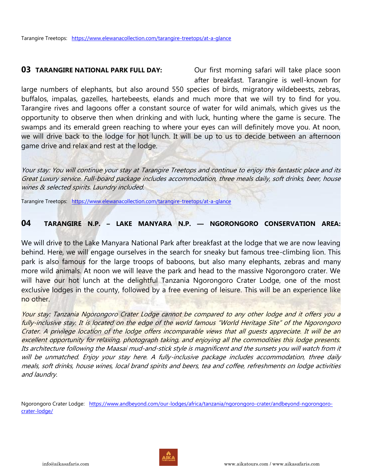**03 TARANGIRE NATIONAL PARK FULL DAY:** Our first morning safari will take place soon after breakfast. Tarangire is well-known for

large numbers of elephants, but also around 550 species of birds, migratory wildebeests, zebras, buffalos, impalas, gazelles, hartebeests, elands and much more that we will try to find for you. Tarangire rives and lagoons offer a constant source of water for wild animals, which gives us the opportunity to observe then when drinking and with luck, hunting where the game is secure. The swamps and its emerald green reaching to where your eyes can will definitely move you. At noon, we will drive back to the lodge for hot lunch. It will be up to us to decide between an afternoon game drive and relax and rest at the lodge.

Your stay: You will continue your stay at Tarangire Treetops and continue to enjoy this fantastic place and its Great Luxury service. Full-board package includes accommodation, three meals daily, soft drinks, beer, house wines & selected spirits. Laundry included.

Tarangire Treetops: <https://www.elewanacollection.com/tarangire-treetops/at-a-glance>

### **04 TARANGIRE N.P. – LAKE MANYARA N.P. — NGORONGORO CONSERVATION AREA:**

We will drive to the Lake Manyara National Park after breakfast at the lodge that we are now leaving behind. Here, we will engage ourselves in the search for sneaky but famous tree-climbing lion. This park is also famous for the large troops of baboons, but also many elephants, zebras and many more wild animals. At noon we will leave the park and head to the massive Ngorongoro crater. We will have our hot lunch at the delightful Tanzania Ngorongoro Crater Lodge, one of the most exclusive lodges in the county, followed by a free evening of leisure. This will be an experience like no other.

Your stay: Tanzania Ngorongoro Crater Lodge cannot be compared to any other lodge and it offers you a fully-inclusive stay. It is located on the edge of the world famous "World Heritage Site" of the Ngorongoro Crater. A privilege location of the lodge offers incomparable views that all guests appreciate. It will be an excellent opportunity for relaxing, photograph taking, and enjoying all the commodities this lodge presents. Its architecture following the Maasai mud-and-stick style is magnificent and the sunsets you will watch from it will be unmatched. Enjoy your stay here. A fully-inclusive package includes accommodation, three daily meals, soft drinks, house wines, local brand spirits and beers, tea and coffee, refreshments on lodge activities and laundry.

Ngorongoro Crater Lodge: [https://www.andbeyond.com/our-lodges/africa/tanzania/ngorongoro-crater/andbeyond-ngorongoro](https://www.andbeyond.com/our-lodges/africa/tanzania/ngorongoro-crater/andbeyond-ngorongoro-crater-lodge/)[crater-lodge/](https://www.andbeyond.com/our-lodges/africa/tanzania/ngorongoro-crater/andbeyond-ngorongoro-crater-lodge/)

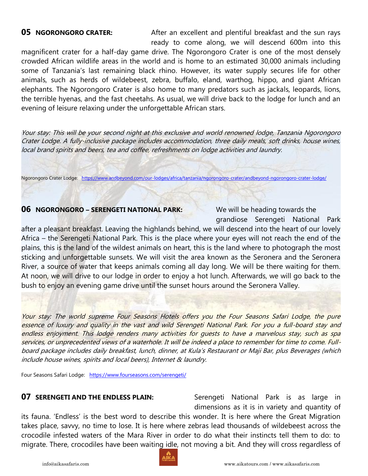### **05 NGORONGORO CRATER:** After an excellent and plentiful breakfast and the sun rays

 ready to come along, we will descend 600m into this magnificent crater for a half-day game drive. The Ngorongoro Crater is one of the most densely crowded African wildlife areas in the world and is home to an estimated 30,000 animals including some of Tanzania's last remaining black rhino. However, its water supply secures life for other animals, such as herds of wildebeest, zebra, buffalo, eland, warthog, hippo, and giant African elephants. The Ngorongoro Crater is also home to many predators such as jackals, leopards, lions, the terrible hyenas, and the fast cheetahs. As usual, we will drive back to the lodge for lunch and an evening of leisure relaxing under the unforgettable African stars.

Your stay: This will be your second night at this exclusive and world renowned lodge, Tanzania Ngorongoro Crater Lodge. A fully-inclusive package includes accommodation, three daily meals, soft drinks, house wines, local brand spirits and beers, tea and coffee, refreshments on lodge activities and laundry.

Ngorongoro Crater Lodge: <https://www.andbeyond.com/our-lodges/africa/tanzania/ngorongoro-crater/andbeyond-ngorongoro-crater-lodge/>

#### **06 NGORONGORO – SERENGETI NATIONAL PARK:** We will be heading towards the

grandiose Serengeti National Park

after a pleasant breakfast. Leaving the highlands behind, we will descend into the heart of our lovely Africa – the Serengeti National Park. This is the place where your eyes will not reach the end of the plains, this is the land of the wildest animals on heart, this is the land where to photograph the most sticking and unforgettable sunsets. We will visit the area known as the Seronera and the Seronera River, a source of water that keeps animals coming all day long. We will be there waiting for them. At noon, we will drive to our lodge in order to enjoy a hot lunch. Afterwards, we will go back to the bush to enjoy an evening game drive until the sunset hours around the Seronera Valley.

Your stay: The world supreme Four Seasons Hotels offers you the Four Seasons Safari Lodge, the pure essence of luxury and quality in the vast and wild Serengeti National Park. For you a full-board stay and endless enjoyment. This lodge renders many activities for guests to have a marvelous stay, such as spa services, or unprecedented views of a waterhole. It will be indeed a place to remember for time to come. Fullboard package includes daily breakfast, lunch, dinner, at Kula's Restaurant or Maji Bar, plus Beverages (which include house wines, spirits and local beers), Internet & laundry.

Four Seasons Safari Lodge: <https://www.fourseasons.com/serengeti/>

**07 SERENGETI AND THE ENDLESS PLAIN:** Serengeti National Park is as large in dimensions as it is in variety and quantity of

its fauna. 'Endless' is the best word to describe this wonder. It is here where the Great Migration takes place, savvy, no time to lose. It is here where zebras lead thousands of wildebeest across the crocodile infested waters of the Mara River in order to do what their instincts tell them to do: to migrate. There, crocodiles have been waiting idle, not moving a bit. And they will cross regardless of

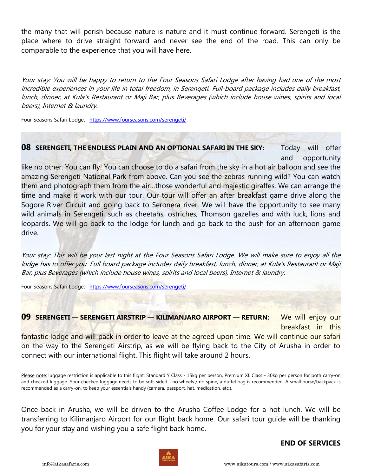the many that will perish because nature is nature and it must continue forward. Serengeti is the place where to drive straight forward and never see the end of the road. This can only be comparable to the experience that you will have here.

Your stay: You will be happy to return to the Four Seasons Safari Lodge after having had one of the most incredible experiences in your life in total freedom, in Serengeti. Full-board package includes daily breakfast, lunch, dinner, at Kula's Restaurant or Maji Bar, plus Beverages (which include house wines, spirits and local beers), Internet & laundry.

Four Seasons Safari Lodge: <https://www.fourseasons.com/serengeti/>

#### **08 SERENGETI, THE ENDLESS PLAIN AND AN OPTIONAL SAFARI IN THE SKY:** Today will offer

and opportunity

like no other. You can fly! You can choose to do a safari from the sky in a hot air balloon and see the amazing Serengeti National Park from above. Can you see the zebras running wild? You can watch them and photograph them from the air…those wonderful and majestic giraffes. We can arrange the time and make it work with our tour. Our tour will offer an after breakfast game drive along the Sogore River Circuit and going back to Seronera river. We will have the opportunity to see many wild animals in Serengeti, such as cheetahs, ostriches, Thomson gazelles and with luck, lions and leopards. We will go back to the lodge for lunch and go back to the bush for an afternoon game drive.

Your stay: This will be your last night at the Four Seasons Safari Lodge. We will make sure to enjoy all the lodge has to offer you. Full board package includes daily breakfast, lunch, dinner, at Kula's Restaurant or Maji Bar, plus Beverages (which include house wines, spirits and local beers), Internet & laundry.

Four Seasons Safari Lodge: <https://www.fourseasons.com/serengeti/>

**09 SERENGETI — SERENGETI AIRSTRIP — KILIMANJARO AIRPORT — RETURN:** We will enjoy our

breakfast in this

fantastic lodge and will pack in order to leave at the agreed upon time. We will continue our safari on the way to the Serengeti Airstrip, as we will be flying back to the City of Arusha in order to connect with our international flight. This flight will take around 2 hours.

Please note: luggage restriction is applicable to this flight: Standard Y Class - 15kg per person, Premium XL Class - 30kg per person for both carry-on and checked luggage. Your checked luggage needs to be soft-sided - no wheels / no spine, a duffel bag is recommended. A small purse/backpack is recommended as a carry-on, to keep your essentials handy (camera, passport, hat, medication, etc.).

Once back in Arusha, we will be driven to the Arusha Coffee Lodge for a hot lunch. We will be transferring to Kilimanjaro Airport for our flight back home. Our safari tour guide will be thanking you for your stay and wishing you a safe flight back home.

### **END OF SERVICES**